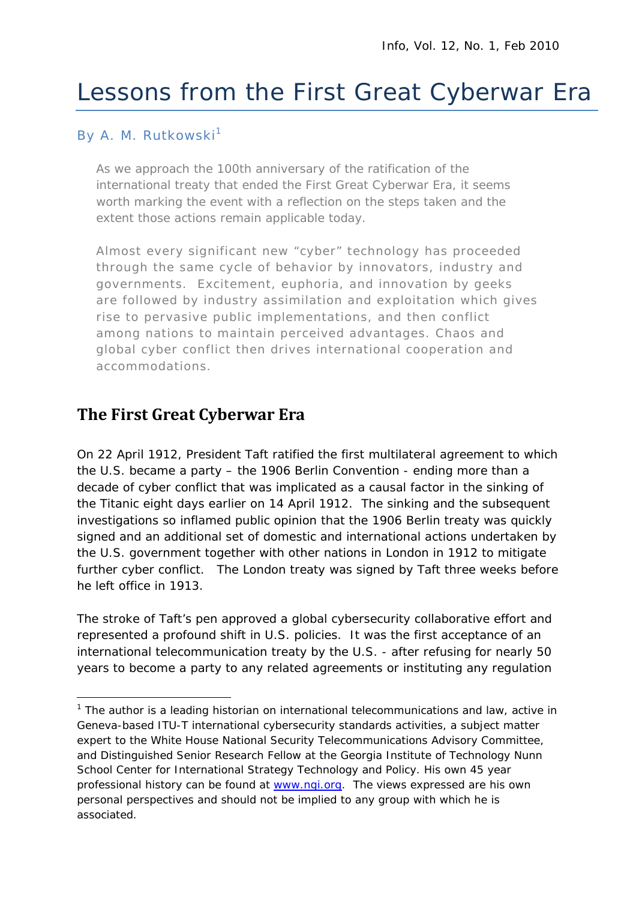# Lessons from the First Great Cyberwar Era

#### *By A. M. Rutkowski<sup>1</sup>*

*As we approach the 100th anniversary of the ratification of the international treaty that ended the First Great Cyberwar Era, it seems worth marking the event with a reflection on the steps taken and the extent those actions remain applicable today.* 

*Almost every significant new "cyber" technology has proceeded through the same cycle of behavior by innovators, industry and governments. Excitement, euphoria, and innovation by geeks are followed by industry assimilation and exploitation which gives rise to pervasive public implementations, and then conflict among nations to maintain perceived advantages. Chaos and global cyber conflict then drives international cooperation and accommodations.* 

### **The First Great Cyberwar Era**

-

On 22 April 1912, President Taft ratified the first multilateral agreement to which the U.S. became a party – the 1906 Berlin Convention - ending more than a decade of cyber conflict that was implicated as a causal factor in the sinking of the Titanic eight days earlier on 14 April 1912. The sinking and the subsequent investigations so inflamed public opinion that the 1906 Berlin treaty was quickly signed and an additional set of domestic and international actions undertaken by the U.S. government together with other nations in London in 1912 to mitigate further cyber conflict. The London treaty was signed by Taft three weeks before he left office in 1913.

The stroke of Taft's pen approved a global cybersecurity collaborative effort and represented a profound shift in U.S. policies. It was the first acceptance of an international telecommunication treaty by the U.S. - after refusing for nearly 50 years to become a party to any related agreements or instituting any regulation

<sup>&</sup>lt;sup>1</sup> The author is a leading historian on international telecommunications and law, active in Geneva-based ITU-T international cybersecurity standards activities, a subject matter expert to the White House National Security Telecommunications Advisory Committee, and Distinguished Senior Research Fellow at the Georgia Institute of Technology Nunn School Center for International Strategy Technology and Policy. His own 45 year professional history can be found at www.ngi.org. The views expressed are his own personal perspectives and should not be implied to any group with which he is associated.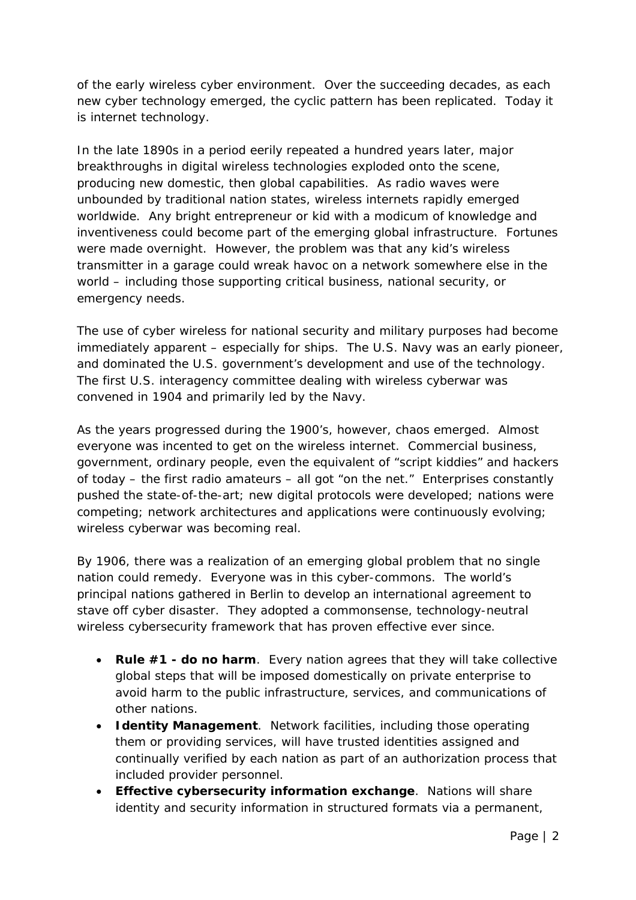of the early wireless cyber environment. Over the succeeding decades, as each new cyber technology emerged, the cyclic pattern has been replicated. Today it is internet technology.

In the late 1890s in a period eerily repeated a hundred years later, major breakthroughs in digital wireless technologies exploded onto the scene, producing new domestic, then global capabilities. As radio waves were unbounded by traditional nation states, wireless internets rapidly emerged worldwide. Any bright entrepreneur or kid with a modicum of knowledge and inventiveness could become part of the emerging global infrastructure. Fortunes were made overnight. However, the problem was that any kid's wireless transmitter in a garage could wreak havoc on a network somewhere else in the world – including those supporting critical business, national security, or emergency needs.

The use of cyber wireless for national security and military purposes had become immediately apparent – especially for ships. The U.S. Navy was an early pioneer, and dominated the U.S. government's development and use of the technology. The first U.S. interagency committee dealing with wireless cyberwar was convened in 1904 and primarily led by the Navy.

As the years progressed during the 1900's, however, chaos emerged. Almost everyone was incented to get on the wireless internet. Commercial business, government, ordinary people, even the equivalent of "script kiddies" and hackers of today – the first radio amateurs – all got "on the net." Enterprises constantly pushed the state-of-the-art; new digital protocols were developed; nations were competing; network architectures and applications were continuously evolving; wireless cyberwar was becoming real.

By 1906, there was a realization of an emerging global problem that no single nation could remedy. Everyone was in this cyber-commons. The world's principal nations gathered in Berlin to develop an international agreement to stave off cyber disaster. They adopted a commonsense, technology-neutral wireless cybersecurity framework that has proven effective ever since.

- **Rule #1 do no harm**. Every nation agrees that they will take collective global steps that will be imposed domestically on private enterprise to avoid harm to the public infrastructure, services, and communications of other nations.
- **Identity Management**. Network facilities, including those operating them or providing services, will have trusted identities assigned and continually verified by each nation as part of an authorization process that included provider personnel.
- **Effective cybersecurity information exchange**. Nations will share identity and security information in structured formats via a permanent,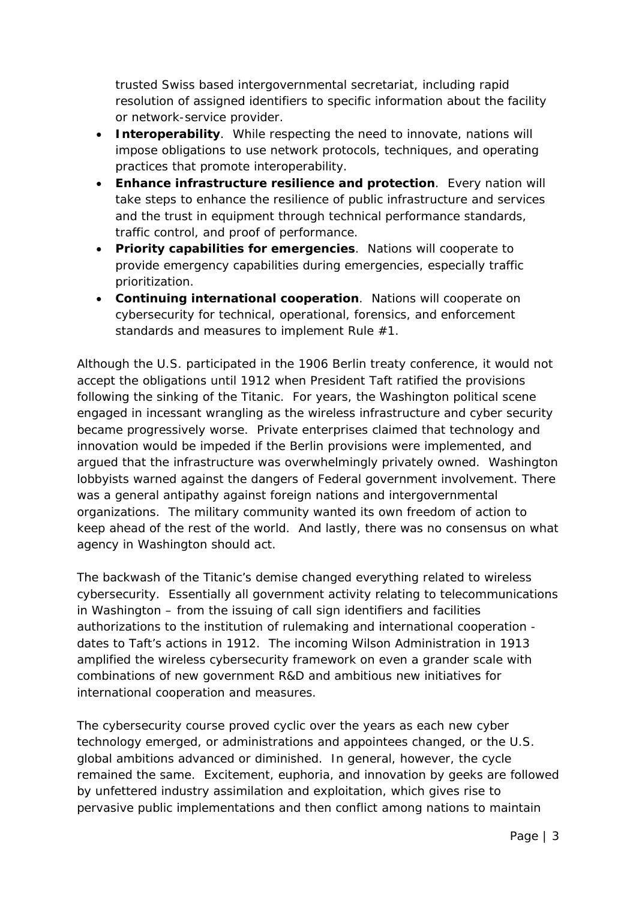trusted Swiss based intergovernmental secretariat, including rapid resolution of assigned identifiers to specific information about the facility or network-service provider.

- **Interoperability**. While respecting the need to innovate, nations will impose obligations to use network protocols, techniques, and operating practices that promote interoperability.
- **Enhance infrastructure resilience and protection**. Every nation will take steps to enhance the resilience of public infrastructure and services and the trust in equipment through technical performance standards, traffic control, and proof of performance.
- **Priority capabilities for emergencies**. Nations will cooperate to provide emergency capabilities during emergencies, especially traffic prioritization.
- **Continuing international cooperation**. Nations will cooperate on cybersecurity for technical, operational, forensics, and enforcement standards and measures to implement Rule #1.

Although the U.S. participated in the 1906 Berlin treaty conference, it would not accept the obligations until 1912 when President Taft ratified the provisions following the sinking of the Titanic. For years, the Washington political scene engaged in incessant wrangling as the wireless infrastructure and cyber security became progressively worse. Private enterprises claimed that technology and innovation would be impeded if the Berlin provisions were implemented, and argued that the infrastructure was overwhelmingly privately owned. Washington lobbyists warned against the dangers of Federal government involvement. There was a general antipathy against foreign nations and intergovernmental organizations. The military community wanted its own freedom of action to keep ahead of the rest of the world. And lastly, there was no consensus on what agency in Washington should act.

The backwash of the Titanic's demise changed everything related to wireless cybersecurity. Essentially all government activity relating to telecommunications in Washington – from the issuing of call sign identifiers and facilities authorizations to the institution of rulemaking and international cooperation dates to Taft's actions in 1912. The incoming Wilson Administration in 1913 amplified the wireless cybersecurity framework on even a grander scale with combinations of new government R&D and ambitious new initiatives for international cooperation and measures.

The cybersecurity course proved cyclic over the years as each new cyber technology emerged, or administrations and appointees changed, or the U.S. global ambitions advanced or diminished. In general, however, the cycle remained the same. Excitement, euphoria, and innovation by geeks are followed by unfettered industry assimilation and exploitation, which gives rise to pervasive public implementations and then conflict among nations to maintain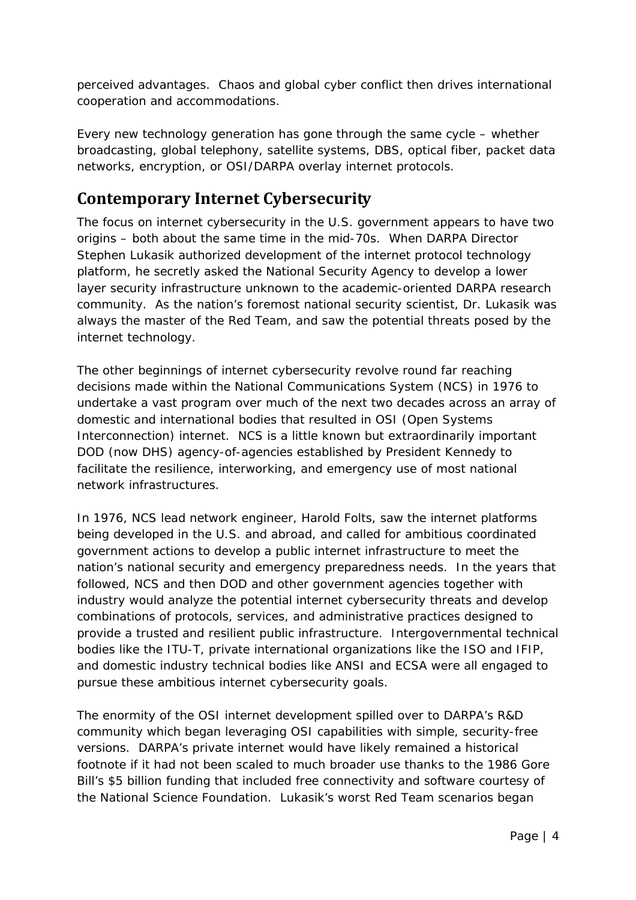perceived advantages. Chaos and global cyber conflict then drives international cooperation and accommodations.

Every new technology generation has gone through the same cycle – whether broadcasting, global telephony, satellite systems, DBS, optical fiber, packet data networks, encryption, or OSI/DARPA overlay internet protocols.

## **Contemporary Internet Cybersecurity**

The focus on internet cybersecurity in the U.S. government appears to have two origins – both about the same time in the mid-70s. When DARPA Director Stephen Lukasik authorized development of the internet protocol technology platform, he secretly asked the National Security Agency to develop a lower layer security infrastructure unknown to the academic-oriented DARPA research community. As the nation's foremost national security scientist, Dr. Lukasik was always the master of the Red Team, and saw the potential threats posed by the internet technology.

The other beginnings of internet cybersecurity revolve round far reaching decisions made within the National Communications System (NCS) in 1976 to undertake a vast program over much of the next two decades across an array of domestic and international bodies that resulted in OSI (Open Systems Interconnection) internet. NCS is a little known but extraordinarily important DOD (now DHS) agency-of-agencies established by President Kennedy to facilitate the resilience, interworking, and emergency use of most national network infrastructures.

In 1976, NCS lead network engineer, Harold Folts, saw the internet platforms being developed in the U.S. and abroad, and called for ambitious coordinated government actions to develop a public internet infrastructure to meet the nation's national security and emergency preparedness needs. In the years that followed, NCS and then DOD and other government agencies together with industry would analyze the potential internet cybersecurity threats and develop combinations of protocols, services, and administrative practices designed to provide a trusted and resilient public infrastructure. Intergovernmental technical bodies like the ITU-T, private international organizations like the ISO and IFIP, and domestic industry technical bodies like ANSI and ECSA were all engaged to pursue these ambitious internet cybersecurity goals.

The enormity of the OSI internet development spilled over to DARPA's R&D community which began leveraging OSI capabilities with simple, security-free versions. DARPA's private internet would have likely remained a historical footnote if it had not been scaled to much broader use thanks to the 1986 Gore Bill's \$5 billion funding that included free connectivity and software courtesy of the National Science Foundation. Lukasik's worst Red Team scenarios began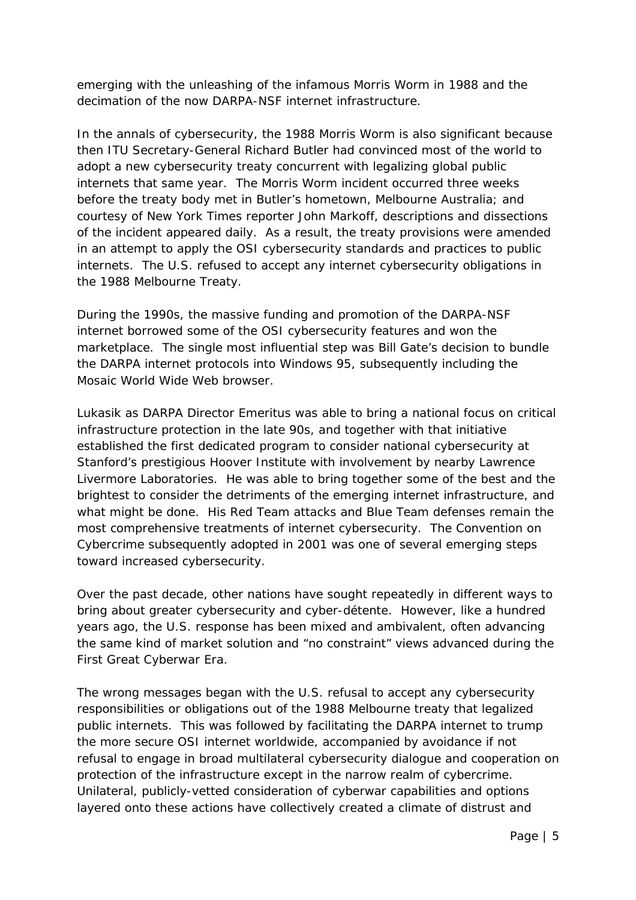emerging with the unleashing of the infamous Morris Worm in 1988 and the decimation of the now DARPA-NSF internet infrastructure.

In the annals of cybersecurity, the 1988 Morris Worm is also significant because then ITU Secretary-General Richard Butler had convinced most of the world to adopt a new cybersecurity treaty concurrent with legalizing global public internets that same year. The Morris Worm incident occurred three weeks before the treaty body met in Butler's hometown, Melbourne Australia; and courtesy of New York Times reporter John Markoff, descriptions and dissections of the incident appeared daily. As a result, the treaty provisions were amended in an attempt to apply the OSI cybersecurity standards and practices to public internets. The U.S. refused to accept any internet cybersecurity obligations in the 1988 Melbourne Treaty.

During the 1990s, the massive funding and promotion of the DARPA-NSF internet borrowed some of the OSI cybersecurity features and won the marketplace. The single most influential step was Bill Gate's decision to bundle the DARPA internet protocols into Windows 95, subsequently including the Mosaic World Wide Web browser.

Lukasik as DARPA Director Emeritus was able to bring a national focus on critical infrastructure protection in the late 90s, and together with that initiative established the first dedicated program to consider national cybersecurity at Stanford's prestigious Hoover Institute with involvement by nearby Lawrence Livermore Laboratories. He was able to bring together some of the best and the brightest to consider the detriments of the emerging internet infrastructure, and what might be done. His Red Team attacks and Blue Team defenses remain the most comprehensive treatments of internet cybersecurity. The Convention on Cybercrime subsequently adopted in 2001 was one of several emerging steps toward increased cybersecurity.

Over the past decade, other nations have sought repeatedly in different ways to bring about greater cybersecurity and cyber-détente. However, like a hundred years ago, the U.S. response has been mixed and ambivalent, often advancing the same kind of market solution and "no constraint" views advanced during the First Great Cyberwar Era.

The wrong messages began with the U.S. refusal to accept any cybersecurity responsibilities or obligations out of the 1988 Melbourne treaty that legalized public internets. This was followed by facilitating the DARPA internet to trump the more secure OSI internet worldwide, accompanied by avoidance if not refusal to engage in broad multilateral cybersecurity dialogue and cooperation on protection of the infrastructure except in the narrow realm of cybercrime. Unilateral, publicly-vetted consideration of cyberwar capabilities and options layered onto these actions have collectively created a climate of distrust and